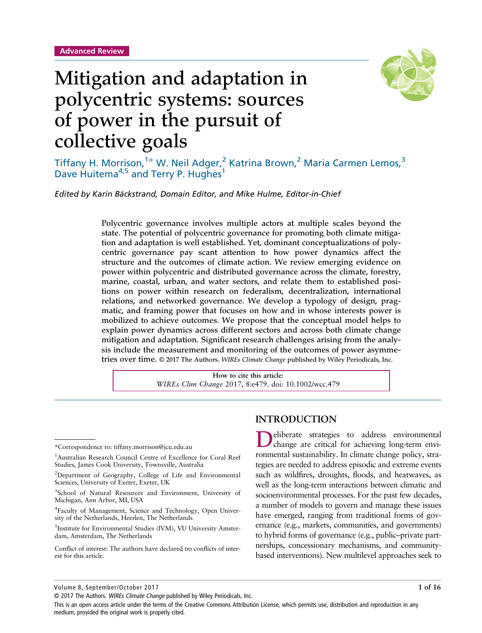

# Mitigation and adaptation in polycentric systems: sources of power in the pursuit of collective goals

Tiffany H. Morrison,<sup>1\*</sup> W. Neil Adger,<sup>2</sup> Katrina Brown,<sup>2</sup> Maria Carmen Lemos,<sup>3</sup> Dave Huitema<sup>4,5</sup> and Terry P. Hughes<sup>1</sup>

Edited by Karin Bäckstrand, Domain Editor, and Mike Hulme, Editor-in-Chief

Polycentric governance involves multiple actors at multiple scales beyond the state. The potential of polycentric governance for promoting both climate mitigation and adaptation is well established. Yet, dominant conceptualizations of polycentric governance pay scant attention to how power dynamics affect the structure and the outcomes of climate action. We review emerging evidence on power within polycentric and distributed governance across the climate, forestry, marine, coastal, urban, and water sectors, and relate them to established positions on power within research on federalism, decentralization, international relations, and networked governance. We develop a typology of design, pragmatic, and framing power that focuses on how and in whose interests power is mobilized to achieve outcomes. We propose that the conceptual model helps to explain power dynamics across different sectors and across both climate change mitigation and adaptation. Significant research challenges arising from the analysis include the measurement and monitoring of the outcomes of power asymmetries over time. © 2017 The Authors. WIREs Climate Change published by Wiley Periodicals, Inc.

> How to cite this article: WIREs Clim Change 2017, 8:e479. doi: 10.1002/wcc.479

## INTRODUCTION

Deliberate strategies to address environmental change are critical for achieving long-term environmental sustainability. In climate change policy, strategies are needed to address episodic and extreme events such as wildfires, droughts, floods, and heatwaves, as well as the long-term interactions between climatic and socioenvironmental processes. For the past few decades, a number of models to govern and manage these issues have emerged, ranging from traditional forms of governance (e.g., markets, communities, and governments) to hybrid forms of governance (e.g., public–private partnerships, concessionary mechanisms, and communitybased interventions). New multilevel approaches seek to

This is an open access article under the terms of the [Creative Commons Attribution](http://creativecommons.org/licenses/by/4.0/) License, which permits use, distribution and reproduction in any medium, provided the original work is properly cited.

<sup>\*</sup>Correspondence to: tiffany.morrison@jcu.edu.au

<sup>&</sup>lt;sup>1</sup> Australian Research Council Centre of Excellence for Coral Reef Studies, James Cook University, Townsville, Australia

<sup>&</sup>lt;sup>2</sup>Department of Geography, College of Life and Environmental Sciences, University of Exeter, Exeter, UK

<sup>&</sup>lt;sup>3</sup>School of Natural Resources and Environment, University of Michigan, Ann Arbor, MI, USA

<sup>4</sup> Faculty of Management, Science and Technology, Open University of the Netherlands, Heerlen, The Netherlands

<sup>5</sup> Institute for Environmental Studies (IVM), VU University Amsterdam, Amsterdam, The Netherlands

Conflict of interest: The authors have declared no conflicts of interest for this article.

Volume 8, September/October 2017 1 of 16

<sup>© 2017</sup> The Authors. WIREs Climate Change published by Wiley Periodicals, Inc.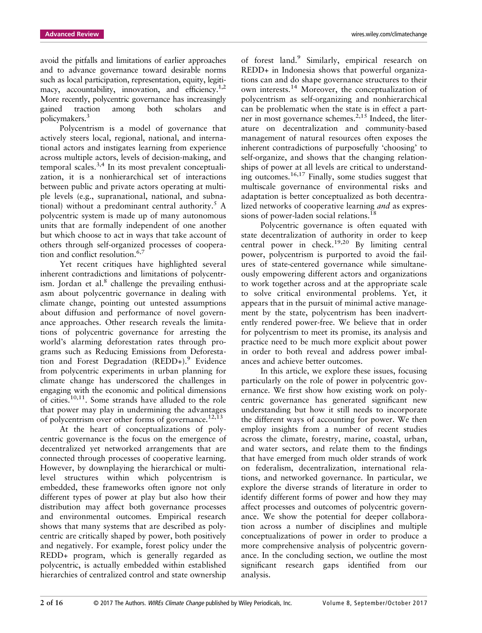avoid the pitfalls and limitations of earlier approaches and to advance governance toward desirable norms such as local participation, representation, equity, legitimacy, accountability, innovation, and efficiency.<sup>1,2</sup> More recently, polycentric governance has increasingly gained traction among both scholars and policymakers.3

Polycentrism is a model of governance that actively steers local, regional, national, and international actors and instigates learning from experience across multiple actors, levels of decision-making, and  $temporal scales.<sup>3,4</sup>$  In its most prevalent conceptualization, it is a nonhierarchical set of interactions between public and private actors operating at multiple levels (e.g., supranational, national, and subnational) without a predominant central authority.<sup>5</sup> A polycentric system is made up of many autonomous units that are formally independent of one another but which choose to act in ways that take account of others through self-organized processes of cooperation and conflict resolution.<sup>6,7</sup>

Yet recent critiques have highlighted several inherent contradictions and limitations of polycentrism. Jordan et al. $8$  challenge the prevailing enthusiasm about polycentric governance in dealing with climate change, pointing out untested assumptions about diffusion and performance of novel governance approaches. Other research reveals the limitations of polycentric governance for arresting the world's alarming deforestation rates through programs such as Reducing Emissions from Deforestation and Forest Degradation  $(REDD+)$ .<sup>9</sup> Evidence from polycentric experiments in urban planning for climate change has underscored the challenges in engaging with the economic and political dimensions of cities.10,11. Some strands have alluded to the role that power may play in undermining the advantages of polycentrism over other forms of governance.<sup>12,13</sup>

At the heart of conceptualizations of polycentric governance is the focus on the emergence of decentralized yet networked arrangements that are connected through processes of cooperative learning. However, by downplaying the hierarchical or multilevel structures within which polycentrism is embedded, these frameworks often ignore not only different types of power at play but also how their distribution may affect both governance processes and environmental outcomes. Empirical research shows that many systems that are described as polycentric are critically shaped by power, both positively and negatively. For example, forest policy under the REDD+ program, which is generally regarded as polycentric, is actually embedded within established hierarchies of centralized control and state ownership

of forest land.9 Similarly, empirical research on REDD+ in Indonesia shows that powerful organizations can and do shape governance structures to their own interests.<sup>14</sup> Moreover, the conceptualization of polycentrism as self-organizing and nonhierarchical can be problematic when the state is in effect a partner in most governance schemes.<sup>2,15</sup> Indeed, the literature on decentralization and community-based management of natural resources often exposes the inherent contradictions of purposefully 'choosing' to self-organize, and shows that the changing relationships of power at all levels are critical to understanding outcomes.<sup>16,17</sup> Finally, some studies suggest that multiscale governance of environmental risks and adaptation is better conceptualized as both decentralized networks of cooperative learning and as expressions of power-laden social relations.<sup>18</sup>

Polycentric governance is often equated with state decentralization of authority in order to keep central power in check.19,20 By limiting central power, polycentrism is purported to avoid the failures of state-centered governance while simultaneously empowering different actors and organizations to work together across and at the appropriate scale to solve critical environmental problems. Yet, it appears that in the pursuit of minimal active management by the state, polycentrism has been inadvertently rendered power-free. We believe that in order for polycentrism to meet its promise, its analysis and practice need to be much more explicit about power in order to both reveal and address power imbalances and achieve better outcomes.

In this article, we explore these issues, focusing particularly on the role of power in polycentric governance. We first show how existing work on polycentric governance has generated significant new understanding but how it still needs to incorporate the different ways of accounting for power. We then employ insights from a number of recent studies across the climate, forestry, marine, coastal, urban, and water sectors, and relate them to the findings that have emerged from much older strands of work on federalism, decentralization, international relations, and networked governance. In particular, we explore the diverse strands of literature in order to identify different forms of power and how they may affect processes and outcomes of polycentric governance. We show the potential for deeper collaboration across a number of disciplines and multiple conceptualizations of power in order to produce a more comprehensive analysis of polycentric governance. In the concluding section, we outline the most significant research gaps identified from our analysis.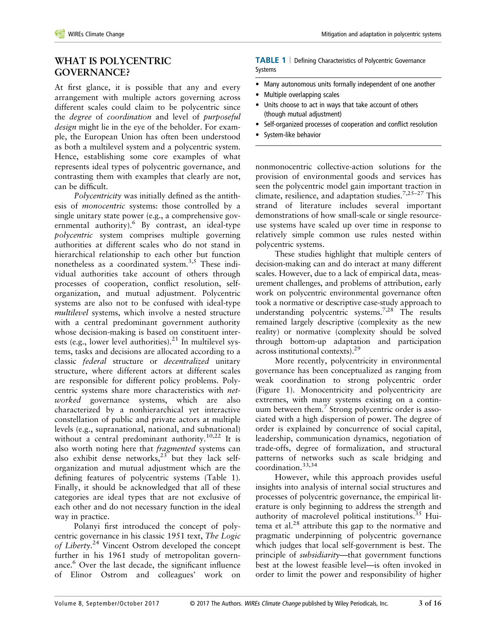# WHAT IS POLYCENTRIC GOVERNANCE?

At first glance, it is possible that any and every arrangement with multiple actors governing across different scales could claim to be polycentric since the degree of coordination and level of purposeful design might lie in the eye of the beholder. For example, the European Union has often been understood as both a multilevel system and a polycentric system. Hence, establishing some core examples of what represents ideal types of polycentric governance, and contrasting them with examples that clearly are not, can be difficult.

Polycentricity was initially defined as the antithesis of monocentric systems: those controlled by a single unitary state power (e.g., a comprehensive governmental authority). By contrast, an ideal-type polycentric system comprises multiple governing authorities at different scales who do not stand in hierarchical relationship to each other but function nonetheless as a coordinated system.<sup>3,5</sup> These individual authorities take account of others through processes of cooperation, conflict resolution, selforganization, and mutual adjustment. Polycentric systems are also not to be confused with ideal-type multilevel systems, which involve a nested structure with a central predominant government authority whose decision-making is based on constituent interests (e.g., lower level authorities).<sup>21</sup> In multilevel systems, tasks and decisions are allocated according to a classic federal structure or decentralized unitary structure, where different actors at different scales are responsible for different policy problems. Polycentric systems share more characteristics with networked governance systems, which are also characterized by a nonhierarchical yet interactive constellation of public and private actors at multiple levels (e.g., supranational, national, and subnational) without a central predominant authority.<sup>10,22</sup> It is also worth noting here that fragmented systems can also exhibit dense networks, $23$  but they lack selforganization and mutual adjustment which are the defining features of polycentric systems (Table 1). Finally, it should be acknowledged that all of these categories are ideal types that are not exclusive of each other and do not necessary function in the ideal way in practice.

Polanyi first introduced the concept of polycentric governance in his classic 1951 text, The Logic of Liberty.<sup>24</sup> Vincent Ostrom developed the concept further in his 1961 study of metropolitan governance.<sup>6</sup> Over the last decade, the significant influence of Elinor Ostrom and colleagues' work on TABLE 1 | Defining Characteristics of Polycentric Governance Systems

- Many autonomous units formally independent of one another
- Multiple overlapping scales
- Units choose to act in ways that take account of others (though mutual adjustment)
- Self-organized processes of cooperation and conflict resolution
- System-like behavior

nonmonocentric collective-action solutions for the provision of environmental goods and services has seen the polycentric model gain important traction in climate, resilience, and adaptation studies.<sup>7,25-27</sup> This strand of literature includes several important demonstrations of how small-scale or single resourceuse systems have scaled up over time in response to relatively simple common use rules nested within polycentric systems.

These studies highlight that multiple centers of decision-making can and do interact at many different scales. However, due to a lack of empirical data, measurement challenges, and problems of attribution, early work on polycentric environmental governance often took a normative or descriptive case-study approach to understanding polycentric systems.<sup>7,28</sup> The results remained largely descriptive (complexity as the new reality) or normative (complexity should be solved through bottom-up adaptation and participation across institutional contexts).29

More recently, polycentricity in environmental governance has been conceptualized as ranging from weak coordination to strong polycentric order (Figure 1). Monocentricity and polycentricity are extremes, with many systems existing on a continuum between them. $\frac{7}{7}$  Strong polycentric order is associated with a high dispersion of power. The degree of order is explained by concurrence of social capital, leadership, communication dynamics, negotiation of trade-offs, degree of formalization, and structural patterns of networks such as scale bridging and coordination.33,34

However, while this approach provides useful insights into analysis of internal social structures and processes of polycentric governance, the empirical literature is only beginning to address the strength and authority of macrolevel political institutions.<sup>35</sup> Huitema et al. $^{28}$  attribute this gap to the normative and pragmatic underpinning of polycentric governance which judges that local self-government is best. The principle of *subsidiarity*—that government functions best at the lowest feasible level—is often invoked in order to limit the power and responsibility of higher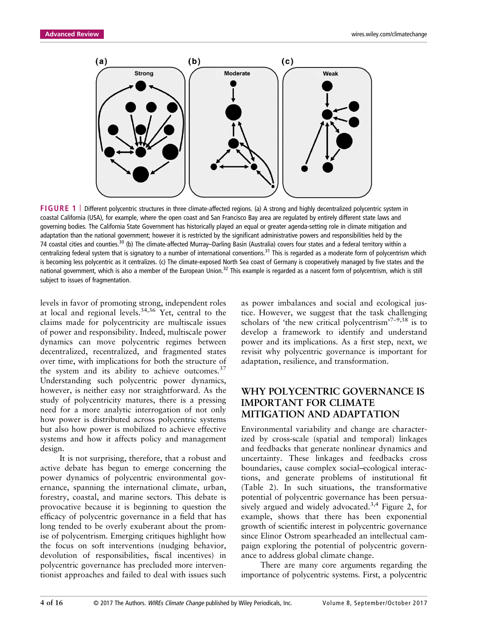

FIGURE 1 Different polycentric structures in three climate-affected regions. (a) A strong and highly decentralized polycentric system in coastal California (USA), for example, where the open coast and San Francisco Bay area are regulated by entirely different state laws and governing bodies. The California State Government has historically played an equal or greater agenda-setting role in climate mitigation and adaptation than the national government; however it is restricted by the significant administrative powers and responsibilities held by the 74 coastal cities and counties.<sup>30</sup> (b) The climate-affected Murray–Darling Basin (Australia) covers four states and a federal territory within a centralizing federal system that is signatory to a number of international conventions.<sup>31</sup> This is regarded as a moderate form of polycentrism which is becoming less polycentric as it centralizes. (c) The climate-exposed North Sea coast of Germany is cooperatively managed by five states and the national government, which is also a member of the European Union.<sup>32</sup> This example is regarded as a nascent form of polycentrism, which is still subject to issues of fragmentation.

levels in favor of promoting strong, independent roles at local and regional levels. $34,36$  Yet, central to the claims made for polycentricity are multiscale issues of power and responsibility. Indeed, multiscale power dynamics can move polycentric regimes between decentralized, recentralized, and fragmented states over time, with implications for both the structure of the system and its ability to achieve outcomes. $37$ Understanding such polycentric power dynamics, however, is neither easy nor straightforward. As the study of polycentricity matures, there is a pressing need for a more analytic interrogation of not only how power is distributed across polycentric systems but also how power is mobilized to achieve effective systems and how it affects policy and management design.

It is not surprising, therefore, that a robust and active debate has begun to emerge concerning the power dynamics of polycentric environmental governance, spanning the international climate, urban, forestry, coastal, and marine sectors. This debate is provocative because it is beginning to question the efficacy of polycentric governance in a field that has long tended to be overly exuberant about the promise of polycentrism. Emerging critiques highlight how the focus on soft interventions (nudging behavior, devolution of responsibilities, fiscal incentives) in polycentric governance has precluded more interventionist approaches and failed to deal with issues such as power imbalances and social and ecological justice. However, we suggest that the task challenging scholars of 'the new critical polycentrism' $7-9,38$  is to develop a framework to identify and understand power and its implications. As a first step, next, we revisit why polycentric governance is important for adaptation, resilience, and transformation.

# WHY POLYCENTRIC GOVERNANCE IS IMPORTANT FOR CLIMATE MITIGATION AND ADAPTATION

Environmental variability and change are characterized by cross-scale (spatial and temporal) linkages and feedbacks that generate nonlinear dynamics and uncertainty. These linkages and feedbacks cross boundaries, cause complex social–ecological interactions, and generate problems of institutional fit (Table 2). In such situations, the transformative potential of polycentric governance has been persuasively argued and widely advocated.<sup>3,4</sup> Figure 2, for example, shows that there has been exponential growth of scientific interest in polycentric governance since Elinor Ostrom spearheaded an intellectual campaign exploring the potential of polycentric governance to address global climate change.

There are many core arguments regarding the importance of polycentric systems. First, a polycentric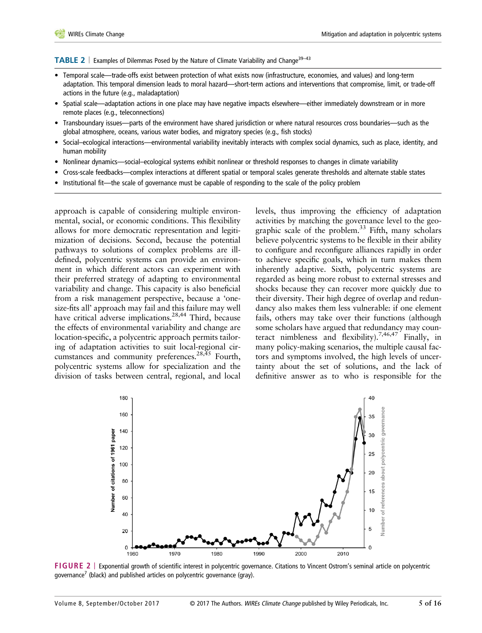TABLE 2 | Examples of Dilemmas Posed by the Nature of Climate Variability and Change<sup>39-43</sup>

- Temporal scale—trade-offs exist between protection of what exists now (infrastructure, economies, and values) and long-term adaptation. This temporal dimension leads to moral hazard—short-term actions and interventions that compromise, limit, or trade-off actions in the future (e.g., maladaptation)
- Spatial scale—adaptation actions in one place may have negative impacts elsewhere—either immediately downstream or in more remote places (e.g., teleconnections)
- Transboundary issues—parts of the environment have shared jurisdiction or where natural resources cross boundaries—such as the global atmosphere, oceans, various water bodies, and migratory species (e.g., fish stocks)
- Social–ecological interactions—environmental variability inevitably interacts with complex social dynamics, such as place, identity, and human mobility
- Nonlinear dynamics—social–ecological systems exhibit nonlinear or threshold responses to changes in climate variability
- Cross-scale feedbacks—complex interactions at different spatial or temporal scales generate thresholds and alternate stable states
- Institutional fit—the scale of governance must be capable of responding to the scale of the policy problem

approach is capable of considering multiple environmental, social, or economic conditions. This flexibility allows for more democratic representation and legitimization of decisions. Second, because the potential pathways to solutions of complex problems are illdefined, polycentric systems can provide an environment in which different actors can experiment with their preferred strategy of adapting to environmental variability and change. This capacity is also beneficial from a risk management perspective, because a 'onesize-fits all' approach may fail and this failure may well have critical adverse implications.<sup>28,44</sup> Third, because the effects of environmental variability and change are location-specific, a polycentric approach permits tailoring of adaptation activities to suit local-regional circumstances and community preferences.<sup>28,45</sup> Fourth, polycentric systems allow for specialization and the division of tasks between central, regional, and local levels, thus improving the efficiency of adaptation activities by matching the governance level to the geographic scale of the problem.<sup>33</sup> Fifth, many scholars believe polycentric systems to be flexible in their ability to configure and reconfigure alliances rapidly in order to achieve specific goals, which in turn makes them inherently adaptive. Sixth, polycentric systems are regarded as being more robust to external stresses and shocks because they can recover more quickly due to their diversity. Their high degree of overlap and redundancy also makes them less vulnerable: if one element fails, others may take over their functions (although some scholars have argued that redundancy may counteract nimbleness and flexibility).<sup>7,46,47</sup> Finally, in many policy-making scenarios, the multiple causal factors and symptoms involved, the high levels of uncertainty about the set of solutions, and the lack of definitive answer as to who is responsible for the



FIGURE 2 | Exponential growth of scientific interest in polycentric governance. Citations to Vincent Ostrom's seminal article on polycentric governance<sup>7</sup> (black) and published articles on polycentric governance (gray).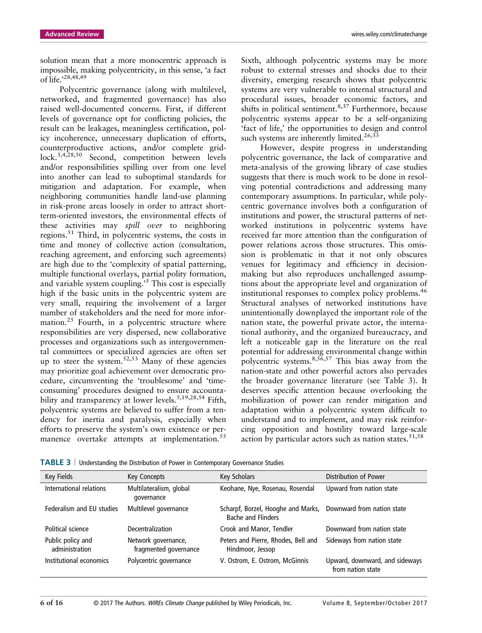solution mean that a more monocentric approach is impossible, making polycentricity, in this sense, 'a fact of life.' 28,48,49

Polycentric governance (along with multilevel, networked, and fragmented governance) has also raised well-documented concerns. First, if different levels of governance opt for conflicting policies, the result can be leakages, meaningless certification, policy incoherence, unnecessary duplication of efforts, counterproductive actions, and/or complete gridlock.<sup>3,4,28,50</sup> Second, competition between levels and/or responsibilities spilling over from one level into another can lead to suboptimal standards for mitigation and adaptation. For example, when neighboring communities handle land-use planning in risk-prone areas loosely in order to attract shortterm-oriented investors, the environmental effects of these activities may *spill over* to neighboring regions.<sup>51</sup> Third, in polycentric systems, the costs in time and money of collective action (consultation, reaching agreement, and enforcing such agreements) are high due to the 'complexity of spatial patterning, multiple functional overlays, partial polity formation, and variable system coupling.<sup>5</sup> This cost is especially high if the basic units in the polycentric system are very small, requiring the involvement of a larger number of stakeholders and the need for more information.<sup>25</sup> Fourth, in a polycentric structure where responsibilities are very dispersed, new collaborative processes and organizations such as intergovernmental committees or specialized agencies are often set up to steer the system.<sup>52,53</sup> Many of these agencies may prioritize goal achievement over democratic procedure, circumventing the 'troublesome' and 'timeconsuming' procedures designed to ensure accountability and transparency at lower levels.<sup>5,19,28,54</sup> Fifth, polycentric systems are believed to suffer from a tendency for inertia and paralysis, especially when efforts to preserve the system's own existence or permanence overtake attempts at implementation.<sup>55</sup>

Sixth, although polycentric systems may be more robust to external stresses and shocks due to their diversity, emerging research shows that polycentric systems are very vulnerable to internal structural and procedural issues, broader economic factors, and shifts in political sentiment. $8,37$  Furthermore, because polycentric systems appear to be a self-organizing 'fact of life,' the opportunities to design and control such systems are inherently limited.<sup>26,33</sup>

However, despite progress in understanding polycentric governance, the lack of comparative and meta-analysis of the growing library of case studies suggests that there is much work to be done in resolving potential contradictions and addressing many contemporary assumptions. In particular, while polycentric governance involves both a configuration of institutions and power, the structural patterns of networked institutions in polycentric systems have received far more attention than the configuration of power relations across those structures. This omission is problematic in that it not only obscures venues for legitimacy and efficiency in decisionmaking but also reproduces unchallenged assumptions about the appropriate level and organization of institutional responses to complex policy problems.<sup>46</sup> Structural analyses of networked institutions have unintentionally downplayed the important role of the nation state, the powerful private actor, the international authority, and the organized bureaucracy, and left a noticeable gap in the literature on the real potential for addressing environmental change within polycentric systems.8,56,57 This bias away from the nation-state and other powerful actors also pervades the broader governance literature (see Table 3). It deserves specific attention because overlooking the mobilization of power can render mitigation and adaptation within a polycentric system difficult to understand and to implement, and may risk reinforcing opposition and hostility toward large-scale action by particular actors such as nation states.<sup>51,58</sup>

| Key Fields                          | <b>Key Concepts</b>                          | Key Scholars                                                                               | Distribution of Power                               |
|-------------------------------------|----------------------------------------------|--------------------------------------------------------------------------------------------|-----------------------------------------------------|
| International relations             | Multilateralism, global<br>governance        | Keohane, Nye, Rosenau, Rosendal                                                            | Upward from nation state                            |
| Federalism and EU studies           | Multilevel governance                        | Scharpf, Borzel, Hooghe and Marks, Downward from nation state<br><b>Bache and Flinders</b> |                                                     |
| Political science                   | <b>Decentralization</b>                      | Crook and Manor, Tendler                                                                   | Downward from nation state                          |
| Public policy and<br>administration | Network governance,<br>fragmented governance | Peters and Pierre, Rhodes, Bell and<br>Hindmoor, Jessop                                    | Sideways from nation state                          |
| Institutional economics             | Polycentric governance                       | V. Ostrom, E. Ostrom, McGinnis                                                             | Upward, downward, and sideways<br>from nation state |

TABLE 3 | Understanding the Distribution of Power in Contemporary Governance Studies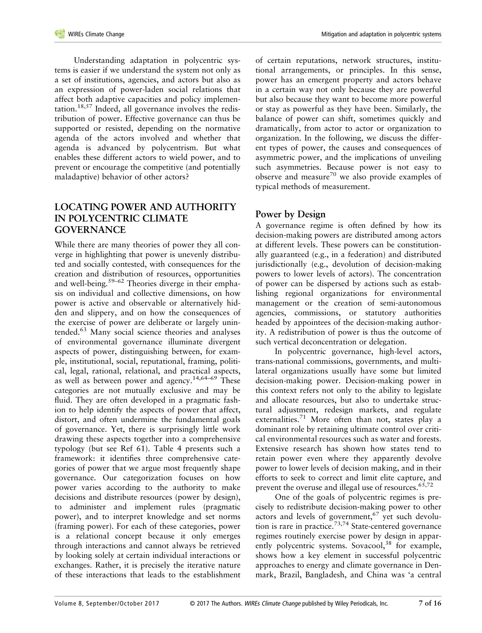Understanding adaptation in polycentric systems is easier if we understand the system not only as a set of institutions, agencies, and actors but also as an expression of power-laden social relations that affect both adaptive capacities and policy implementation.18,57 Indeed, all governance involves the redistribution of power. Effective governance can thus be supported or resisted, depending on the normative agenda of the actors involved and whether that agenda is advanced by polycentrism. But what enables these different actors to wield power, and to prevent or encourage the competitive (and potentially

# LOCATING POWER AND AUTHORITY IN POLYCENTRIC CLIMATE **GOVERNANCE**

maladaptive) behavior of other actors?

While there are many theories of power they all converge in highlighting that power is unevenly distributed and socially contested, with consequences for the creation and distribution of resources, opportunities and well-being. $59-62$  Theories diverge in their emphasis on individual and collective dimensions, on how power is active and observable or alternatively hidden and slippery, and on how the consequences of the exercise of power are deliberate or largely unintended.<sup>63</sup> Many social science theories and analyses of environmental governance illuminate divergent aspects of power, distinguishing between, for example, institutional, social, reputational, framing, political, legal, rational, relational, and practical aspects, as well as between power and agency.14,64–<sup>69</sup> These categories are not mutually exclusive and may be fluid. They are often developed in a pragmatic fashion to help identify the aspects of power that affect, distort, and often undermine the fundamental goals of governance. Yet, there is surprisingly little work drawing these aspects together into a comprehensive typology (but see Ref 61). Table 4 presents such a framework: it identifies three comprehensive categories of power that we argue most frequently shape governance. Our categorization focuses on how power varies according to the authority to make decisions and distribute resources (power by design), to administer and implement rules (pragmatic power), and to interpret knowledge and set norms (framing power). For each of these categories, power is a relational concept because it only emerges through interactions and cannot always be retrieved by looking solely at certain individual interactions or exchanges. Rather, it is precisely the iterative nature of these interactions that leads to the establishment

of certain reputations, network structures, institutional arrangements, or principles. In this sense, power has an emergent property and actors behave in a certain way not only because they are powerful but also because they want to become more powerful or stay as powerful as they have been. Similarly, the balance of power can shift, sometimes quickly and dramatically, from actor to actor or organization to organization. In the following, we discuss the different types of power, the causes and consequences of asymmetric power, and the implications of unveiling such asymmetries. Because power is not easy to observe and measure<sup>70</sup> we also provide examples of typical methods of measurement.

## Power by Design

A governance regime is often defined by how its decision-making powers are distributed among actors at different levels. These powers can be constitutionally guaranteed (e.g., in a federation) and distributed jurisdictionally (e.g., devolution of decision-making powers to lower levels of actors). The concentration of power can be dispersed by actions such as establishing regional organizations for environmental management or the creation of semi-autonomous agencies, commissions, or statutory authorities headed by appointees of the decision-making authority. A redistribution of power is thus the outcome of such vertical deconcentration or delegation.

In polycentric governance, high-level actors, trans-national commissions, governments, and multilateral organizations usually have some but limited decision-making power. Decision-making power in this context refers not only to the ability to legislate and allocate resources, but also to undertake structural adjustment, redesign markets, and regulate externalities.<sup>71</sup> More often than not, states play a dominant role by retaining ultimate control over critical environmental resources such as water and forests. Extensive research has shown how states tend to retain power even where they apparently devolve power to lower levels of decision making, and in their efforts to seek to correct and limit elite capture, and prevent the overuse and illegal use of resources.<sup>65,72</sup>

One of the goals of polycentric regimes is precisely to redistribute decision-making power to other actors and levels of government,  $67$  yet such devolution is rare in practice.<sup>73,74</sup> State-centered governance regimes routinely exercise power by design in apparently polycentric systems. Sovacool,  $38$  for example, shows how a key element in successful polycentric approaches to energy and climate governance in Denmark, Brazil, Bangladesh, and China was 'a central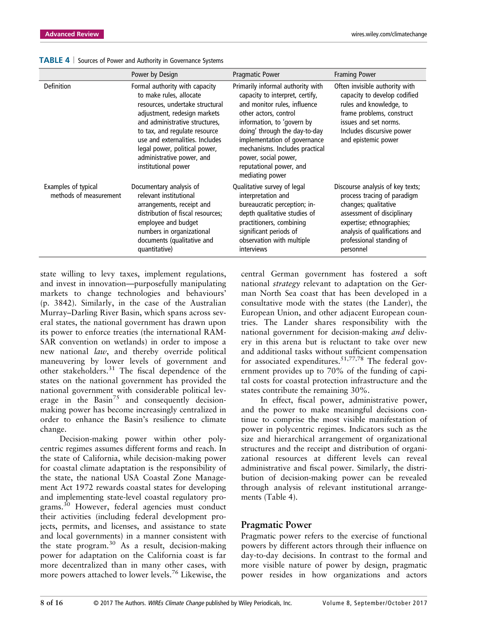|                                               | Power by Design                                                                                                                                                                                                                                                                                                         | Pragmatic Power                                                                                                                                                                                                                                                                                                                      | <b>Framing Power</b>                                                                                                                                                                                                          |
|-----------------------------------------------|-------------------------------------------------------------------------------------------------------------------------------------------------------------------------------------------------------------------------------------------------------------------------------------------------------------------------|--------------------------------------------------------------------------------------------------------------------------------------------------------------------------------------------------------------------------------------------------------------------------------------------------------------------------------------|-------------------------------------------------------------------------------------------------------------------------------------------------------------------------------------------------------------------------------|
| <b>Definition</b>                             | Formal authority with capacity<br>to make rules, allocate<br>resources, undertake structural<br>adjustment, redesign markets<br>and administrative structures.<br>to tax, and regulate resource<br>use and externalities. Includes<br>legal power, political power,<br>administrative power, and<br>institutional power | Primarily informal authority with<br>capacity to interpret, certify,<br>and monitor rules, influence<br>other actors, control<br>information, to 'govern by<br>doing' through the day-to-day<br>implementation of governance<br>mechanisms. Includes practical<br>power, social power,<br>reputational power, and<br>mediating power | Often invisible authority with<br>capacity to develop codified<br>rules and knowledge, to<br>frame problems, construct<br>issues and set norms.<br>Includes discursive power<br>and epistemic power                           |
| Examples of typical<br>methods of measurement | Documentary analysis of<br>relevant institutional<br>arrangements, receipt and<br>distribution of fiscal resources:<br>employee and budget<br>numbers in organizational<br>documents (qualitative and<br>quantitative)                                                                                                  | Qualitative survey of legal<br>interpretation and<br>bureaucratic perception; in-<br>depth qualitative studies of<br>practitioners, combining<br>significant periods of<br>observation with multiple<br>interviews                                                                                                                   | Discourse analysis of key texts;<br>process tracing of paradigm<br>changes; qualitative<br>assessment of disciplinary<br>expertise; ethnographies;<br>analysis of qualifications and<br>professional standing of<br>personnel |

#### TABLE 4 | Sources of Power and Authority in Governance Systems

state willing to levy taxes, implement regulations, and invest in innovation—purposefully manipulating markets to change technologies and behaviours' (p. 3842). Similarly, in the case of the Australian Murray–Darling River Basin, which spans across several states, the national government has drawn upon its power to enforce treaties (the international RAM-SAR convention on wetlands) in order to impose a new national law, and thereby override political maneuvering by lower levels of government and other stakeholders.<sup>31</sup> The fiscal dependence of the states on the national government has provided the national government with considerable political leverage in the Basin<sup>75</sup> and consequently decisionmaking power has become increasingly centralized in order to enhance the Basin's resilience to climate change.

Decision-making power within other polycentric regimes assumes different forms and reach. In the state of California, while decision-making power for coastal climate adaptation is the responsibility of the state, the national USA Coastal Zone Management Act 1972 rewards coastal states for developing and implementing state-level coastal regulatory programs.<sup>30</sup> However, federal agencies must conduct their activities (including federal development projects, permits, and licenses, and assistance to state and local governments) in a manner consistent with the state program.<sup>30</sup> As a result, decision-making power for adaptation on the California coast is far more decentralized than in many other cases, with more powers attached to lower levels.<sup>76</sup> Likewise, the

central German government has fostered a soft national strategy relevant to adaptation on the German North Sea coast that has been developed in a consultative mode with the states (the Lander), the European Union, and other adjacent European countries. The Lander shares responsibility with the national government for decision-making and delivery in this arena but is reluctant to take over new and additional tasks without sufficient compensation for associated expenditures.<sup>51,77,78</sup> The federal government provides up to 70% of the funding of capital costs for coastal protection infrastructure and the states contribute the remaining 30%.

In effect, fiscal power, administrative power, and the power to make meaningful decisions continue to comprise the most visible manifestation of power in polycentric regimes. Indicators such as the size and hierarchical arrangement of organizational structures and the receipt and distribution of organizational resources at different levels can reveal administrative and fiscal power. Similarly, the distribution of decision-making power can be revealed through analysis of relevant institutional arrangements (Table 4).

## Pragmatic Power

Pragmatic power refers to the exercise of functional powers by different actors through their influence on day-to-day decisions. In contrast to the formal and more visible nature of power by design, pragmatic power resides in how organizations and actors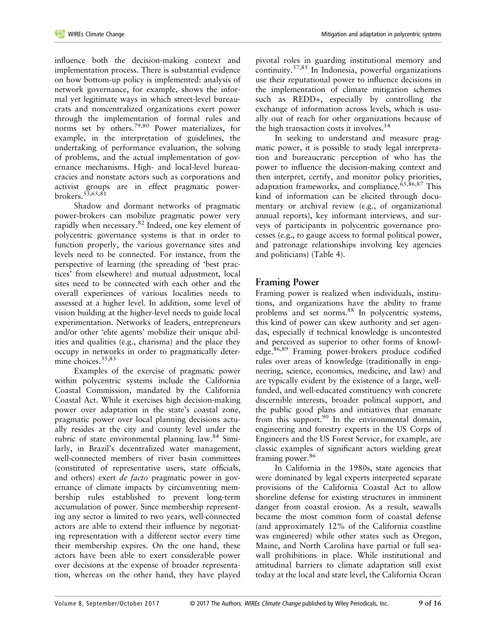influence both the decision-making context and implementation process. There is substantial evidence on how bottom-up policy is implemented: analysis of network governance, for example, shows the informal yet legitimate ways in which street-level bureaucrats and noncentralized organizations exert power through the implementation of formal rules and norms set by others.79,80 Power materializes, for example, in the interpretation of guidelines, the undertaking of performance evaluation, the solving of problems, and the actual implementation of governance mechanisms. High- and local-level bureaucracies and nonstate actors such as corporations and activist groups are in effect pragmatic powerbrokers.  $53,65,81$ 

Shadow and dormant networks of pragmatic power-brokers can mobilize pragmatic power very rapidly when necessary.<sup>82</sup> Indeed, one key element of polycentric governance systems is that in order to function properly, the various governance sites and levels need to be connected. For instance, from the perspective of learning (the spreading of 'best practices' from elsewhere) and mutual adjustment, local sites need to be connected with each other and the overall experiences of various localities needs to assessed at a higher level. In addition, some level of vision building at the higher-level needs to guide local experimentation. Networks of leaders, entrepreneurs and/or other 'elite agents' mobilize their unique abilities and qualities (e.g., charisma) and the place they occupy in networks in order to pragmatically determine choices.<sup>35,83</sup>

Examples of the exercise of pragmatic power within polycentric systems include the California Coastal Commission, mandated by the California Coastal Act. While it exercises high decision-making power over adaptation in the state's coastal zone, pragmatic power over local planning decisions actually resides at the city and county level under the rubric of state environmental planning law.<sup>84</sup> Similarly, in Brazil's decentralized water management, well-connected members of river basin committees (constituted of representative users, state officials, and others) exert *de facto* pragmatic power in governance of climate impacts by circumventing membership rules established to prevent long-term accumulation of power. Since membership representing any sector is limited to two years, well-connected actors are able to extend their influence by negotiating representation with a different sector every time their membership expires. On the one hand, these actors have been able to exert considerable power over decisions at the expense of broader representation, whereas on the other hand, they have played pivotal roles in guarding institutional memory and continuity.57,85 In Indonesia, powerful organizations use their reputational power to influence decisions in the implementation of climate mitigation schemes such as REDD+, especially by controlling the exchange of information across levels, which is usually out of reach for other organizations because of the high transaction costs it involves.<sup>14</sup>

In seeking to understand and measure pragmatic power, it is possible to study legal interpretation and bureaucratic perception of who has the power to influence the decision-making context and then interpret, certify, and monitor policy priorities, adaptation frameworks, and compliance.<sup>65,86,87</sup> This kind of information can be elicited through documentary or archival review (e.g., of organizational annual reports), key informant interviews, and surveys of participants in polycentric governance processes (e.g., to gauge access to formal political power, and patronage relationships involving key agencies and politicians) (Table 4).

# Framing Power

Framing power is realized when individuals, institutions, and organizations have the ability to frame problems and set norms.<sup>88</sup> In polycentric systems, this kind of power can skew authority and set agendas, especially if technical knowledge is uncontested and perceived as superior to other forms of knowledge.86,89 Framing power-brokers produce codified rules over areas of knowledge (traditionally in engineering, science, economics, medicine, and law) and are typically evident by the existence of a large, wellfunded, and well-educated constituency with concrete discernible interests, broader political support, and the public good plans and initiatives that emanate from this support.<sup>90</sup> In the environmental domain, engineering and forestry experts in the US Corps of Engineers and the US Forest Service, for example, are classic examples of significant actors wielding great framing power.<sup>86</sup>

In California in the 1980s, state agencies that were dominated by legal experts interpreted separate provisions of the California Coastal Act to allow shoreline defense for existing structures in imminent danger from coastal erosion. As a result, seawalls became the most common form of coastal defense (and approximately 12% of the California coastline was engineered) while other states such as Oregon, Maine, and North Carolina have partial or full seawall prohibitions in place. While institutional and attitudinal barriers to climate adaptation still exist today at the local and state level, the California Ocean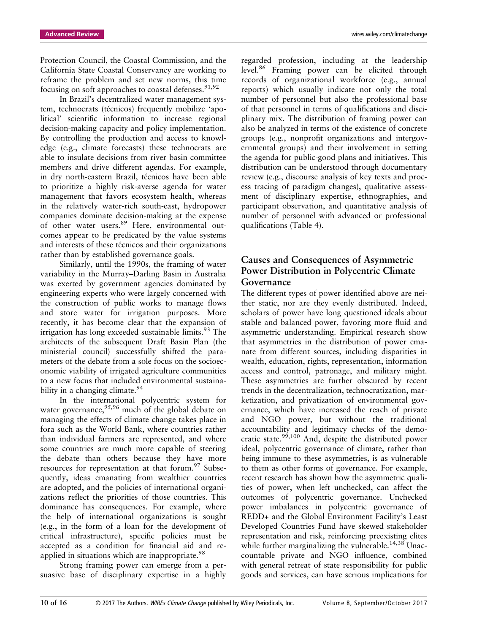Protection Council, the Coastal Commission, and the California State Coastal Conservancy are working to reframe the problem and set new norms, this time focusing on soft approaches to coastal defenses. $91,92$ 

In Brazil's decentralized water management system, technocrats (técnicos) frequently mobilize 'apolitical' scientific information to increase regional decision-making capacity and policy implementation. By controlling the production and access to knowledge (e.g., climate forecasts) these technocrats are able to insulate decisions from river basin committee members and drive different agendas. For example, in dry north-eastern Brazil, técnicos have been able to prioritize a highly risk-averse agenda for water management that favors ecosystem health, whereas in the relatively water-rich south-east, hydropower companies dominate decision-making at the expense of other water users.<sup>89</sup> Here, environmental outcomes appear to be predicated by the value systems and interests of these técnicos and their organizations rather than by established governance goals.

Similarly, until the 1990s, the framing of water variability in the Murray–Darling Basin in Australia was exerted by government agencies dominated by engineering experts who were largely concerned with the construction of public works to manage flows and store water for irrigation purposes. More recently, it has become clear that the expansion of irrigation has long exceeded sustainable limits. $^{93}$  The architects of the subsequent Draft Basin Plan (the ministerial council) successfully shifted the parameters of the debate from a sole focus on the socioeconomic viability of irrigated agriculture communities to a new focus that included environmental sustainability in a changing climate.<sup>94</sup>

In the international polycentric system for water governance,<sup>95,96</sup> much of the global debate on managing the effects of climate change takes place in fora such as the World Bank, where countries rather than individual farmers are represented, and where some countries are much more capable of steering the debate than others because they have more resources for representation at that forum. $97$  Subsequently, ideas emanating from wealthier countries are adopted, and the policies of international organizations reflect the priorities of those countries. This dominance has consequences. For example, where the help of international organizations is sought (e.g., in the form of a loan for the development of critical infrastructure), specific policies must be accepted as a condition for financial aid and reapplied in situations which are inappropriate.<sup>98</sup>

Strong framing power can emerge from a persuasive base of disciplinary expertise in a highly regarded profession, including at the leadership level.<sup>86</sup> Framing power can be elicited through records of organizational workforce (e.g., annual reports) which usually indicate not only the total number of personnel but also the professional base of that personnel in terms of qualifications and disciplinary mix. The distribution of framing power can also be analyzed in terms of the existence of concrete groups (e.g., nonprofit organizations and intergovernmental groups) and their involvement in setting the agenda for public-good plans and initiatives. This distribution can be understood through documentary review (e.g., discourse analysis of key texts and process tracing of paradigm changes), qualitative assessment of disciplinary expertise, ethnographies, and participant observation, and quantitative analysis of number of personnel with advanced or professional qualifications (Table 4).

## Causes and Consequences of Asymmetric Power Distribution in Polycentric Climate Governance

The different types of power identified above are neither static, nor are they evenly distributed. Indeed, scholars of power have long questioned ideals about stable and balanced power, favoring more fluid and asymmetric understanding. Empirical research show that asymmetries in the distribution of power emanate from different sources, including disparities in wealth, education, rights, representation, information access and control, patronage, and military might. These asymmetries are further obscured by recent trends in the decentralization, technocratization, marketization, and privatization of environmental governance, which have increased the reach of private and NGO power, but without the traditional accountability and legitimacy checks of the democratic state.<sup>99,100</sup> And, despite the distributed power ideal, polycentric governance of climate, rather than being immune to these asymmetries, is as vulnerable to them as other forms of governance. For example, recent research has shown how the asymmetric qualities of power, when left unchecked, can affect the outcomes of polycentric governance. Unchecked power imbalances in polycentric governance of REDD+ and the Global Environment Facility's Least Developed Countries Fund have skewed stakeholder representation and risk, reinforcing preexisting elites while further marginalizing the vulnerable.<sup>14,38</sup> Unaccountable private and NGO influence, combined with general retreat of state responsibility for public goods and services, can have serious implications for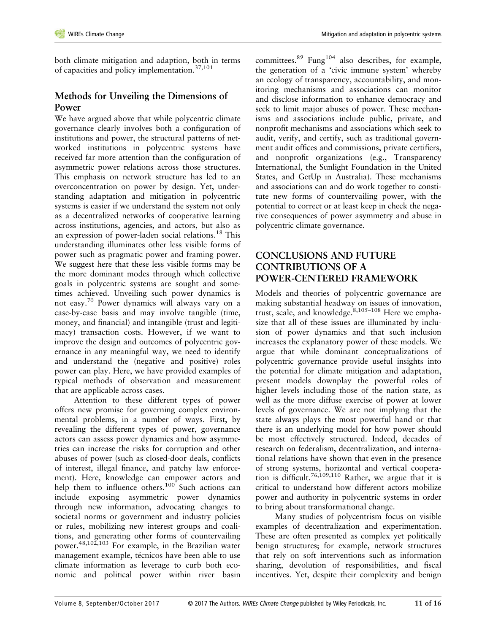both climate mitigation and adaption, both in terms of capacities and policy implementation.37,101

## Methods for Unveiling the Dimensions of Power

We have argued above that while polycentric climate governance clearly involves both a configuration of institutions and power, the structural patterns of networked institutions in polycentric systems have received far more attention than the configuration of asymmetric power relations across those structures. This emphasis on network structure has led to an overconcentration on power by design. Yet, understanding adaptation and mitigation in polycentric systems is easier if we understand the system not only as a decentralized networks of cooperative learning across institutions, agencies, and actors, but also as an expression of power-laden social relations.<sup>18</sup> This understanding illuminates other less visible forms of power such as pragmatic power and framing power. We suggest here that these less visible forms may be the more dominant modes through which collective goals in polycentric systems are sought and sometimes achieved. Unveiling such power dynamics is not easy.<sup>70</sup> Power dynamics will always vary on a case-by-case basis and may involve tangible (time, money, and financial) and intangible (trust and legitimacy) transaction costs. However, if we want to improve the design and outcomes of polycentric governance in any meaningful way, we need to identify and understand the (negative and positive) roles power can play. Here, we have provided examples of typical methods of observation and measurement that are applicable across cases.

Attention to these different types of power offers new promise for governing complex environmental problems, in a number of ways. First, by revealing the different types of power, governance actors can assess power dynamics and how asymmetries can increase the risks for corruption and other abuses of power (such as closed-door deals, conflicts of interest, illegal finance, and patchy law enforcement). Here, knowledge can empower actors and help them to influence others.<sup>100</sup> Such actions can include exposing asymmetric power dynamics through new information, advocating changes to societal norms or government and industry policies or rules, mobilizing new interest groups and coalitions, and generating other forms of countervailing power.<sup>48,102,103</sup> For example, in the Brazilian water management example, técnicos have been able to use climate information as leverage to curb both economic and political power within river basin committees. $89$  Fung<sup>104</sup> also describes, for example, the generation of a 'civic immune system' whereby an ecology of transparency, accountability, and monitoring mechanisms and associations can monitor and disclose information to enhance democracy and seek to limit major abuses of power. These mechanisms and associations include public, private, and nonprofit mechanisms and associations which seek to audit, verify, and certify, such as traditional government audit offices and commissions, private certifiers, and nonprofit organizations (e.g., Transparency International, the Sunlight Foundation in the United States, and GetUp in Australia). These mechanisms and associations can and do work together to constitute new forms of countervailing power, with the potential to correct or at least keep in check the negative consequences of power asymmetry and abuse in polycentric climate governance.

# CONCLUSIONS AND FUTURE CONTRIBUTIONS OF A POWER-CENTERED FRAMEWORK

Models and theories of polycentric governance are making substantial headway on issues of innovation, trust, scale, and knowledge. $8,105-108$  Here we emphasize that all of these issues are illuminated by inclusion of power dynamics and that such inclusion increases the explanatory power of these models. We argue that while dominant conceptualizations of polycentric governance provide useful insights into the potential for climate mitigation and adaptation, present models downplay the powerful roles of higher levels including those of the nation state, as well as the more diffuse exercise of power at lower levels of governance. We are not implying that the state always plays the most powerful hand or that there is an underlying model for how power should be most effectively structured. Indeed, decades of research on federalism, decentralization, and international relations have shown that even in the presence of strong systems, horizontal and vertical cooperation is difficult.<sup>76,109,110</sup> Rather, we argue that it is critical to understand how different actors mobilize power and authority in polycentric systems in order to bring about transformational change.

Many studies of polycentrism focus on visible examples of decentralization and experimentation. These are often presented as complex yet politically benign structures; for example, network structures that rely on soft interventions such as information sharing, devolution of responsibilities, and fiscal incentives. Yet, despite their complexity and benign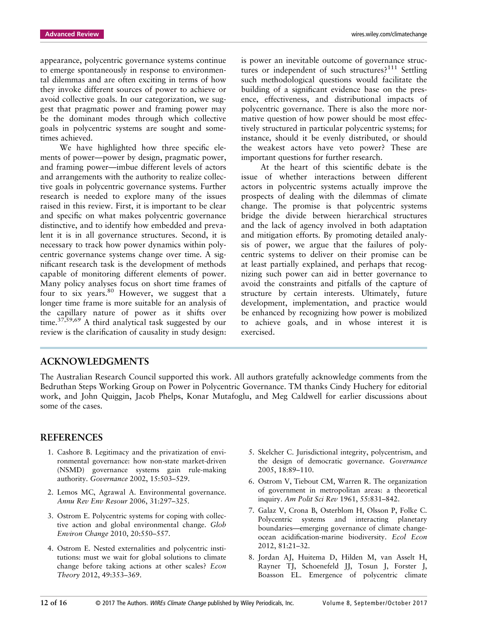appearance, polycentric governance systems continue to emerge spontaneously in response to environmental dilemmas and are often exciting in terms of how they invoke different sources of power to achieve or avoid collective goals. In our categorization, we suggest that pragmatic power and framing power may be the dominant modes through which collective goals in polycentric systems are sought and sometimes achieved.

We have highlighted how three specific elements of power—power by design, pragmatic power, and framing power—imbue different levels of actors and arrangements with the authority to realize collective goals in polycentric governance systems. Further research is needed to explore many of the issues raised in this review. First, it is important to be clear and specific on what makes polycentric governance distinctive, and to identify how embedded and prevalent it is in all governance structures. Second, it is necessary to track how power dynamics within polycentric governance systems change over time. A significant research task is the development of methods capable of monitoring different elements of power. Many policy analyses focus on short time frames of four to six years.<sup>80</sup> However, we suggest that a longer time frame is more suitable for an analysis of the capillary nature of power as it shifts over time.37,59,69 A third analytical task suggested by our review is the clarification of causality in study design: is power an inevitable outcome of governance structures or independent of such structures?<sup>111</sup> Settling such methodological questions would facilitate the building of a significant evidence base on the presence, effectiveness, and distributional impacts of polycentric governance. There is also the more normative question of how power should be most effectively structured in particular polycentric systems; for instance, should it be evenly distributed, or should the weakest actors have veto power? These are important questions for further research.

At the heart of this scientific debate is the issue of whether interactions between different actors in polycentric systems actually improve the prospects of dealing with the dilemmas of climate change. The promise is that polycentric systems bridge the divide between hierarchical structures and the lack of agency involved in both adaptation and mitigation efforts. By promoting detailed analysis of power, we argue that the failures of polycentric systems to deliver on their promise can be at least partially explained, and perhaps that recognizing such power can aid in better governance to avoid the constraints and pitfalls of the capture of structure by certain interests. Ultimately, future development, implementation, and practice would be enhanced by recognizing how power is mobilized to achieve goals, and in whose interest it is exercised.

### ACKNOWLEDGMENTS

The Australian Research Council supported this work. All authors gratefully acknowledge comments from the Bedruthan Steps Working Group on Power in Polycentric Governance. TM thanks Cindy Huchery for editorial work, and John Quiggin, Jacob Phelps, Konar Mutafoglu, and Meg Caldwell for earlier discussions about some of the cases.

#### **REFERENCES**

- 1. Cashore B. Legitimacy and the privatization of environmental governance: how non-state market-driven (NSMD) governance systems gain rule-making authority. Governance 2002, 15:503–529.
- 2. Lemos MC, Agrawal A. Environmental governance. Annu Rev Env Resour 2006, 31:297–325.
- 3. Ostrom E. Polycentric systems for coping with collective action and global environmental change. Glob Environ Change 2010, 20:550–557.
- 4. Ostrom E. Nested externalities and polycentric institutions: must we wait for global solutions to climate change before taking actions at other scales? Econ Theory 2012, 49:353–369.
- 5. Skelcher C. Jurisdictional integrity, polycentrism, and the design of democratic governance. Governance 2005, 18:89–110.
- 6. Ostrom V, Tiebout CM, Warren R. The organization of government in metropolitan areas: a theoretical inquiry. Am Polit Sci Rev 1961, 55:831–842.
- 7. Galaz V, Crona B, Osterblom H, Olsson P, Folke C. Polycentric systems and interacting planetary boundaries—emerging governance of climate changeocean acidification-marine biodiversity. Ecol Econ 2012, 81:21–32.
- 8. Jordan AJ, Huitema D, Hilden M, van Asselt H, Rayner TJ, Schoenefeld JJ, Tosun J, Forster J, Boasson EL. Emergence of polycentric climate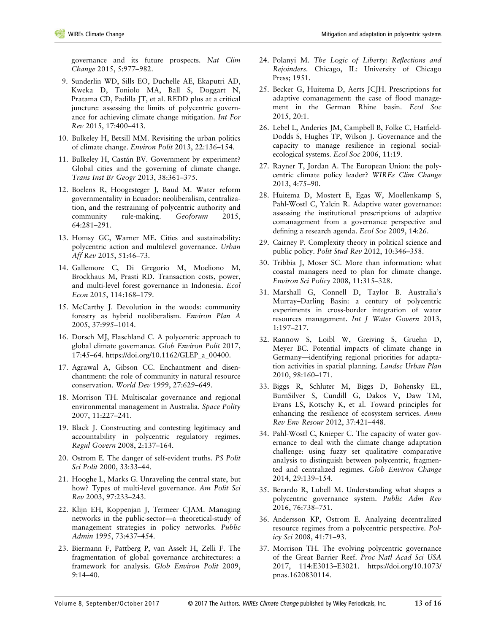governance and its future prospects. Nat Clim Change 2015, 5:977–982.

- 9. Sunderlin WD, Sills EO, Duchelle AE, Ekaputri AD, Kweka D, Toniolo MA, Ball S, Doggart N, Pratama CD, Padilla JT, et al. REDD plus at a critical juncture: assessing the limits of polycentric governance for achieving climate change mitigation. Int For Rev 2015, 17:400–413.
- 10. Bulkeley H, Betsill MM. Revisiting the urban politics of climate change. Environ Polit 2013, 22:136–154.
- 11. Bulkeley H, Castán BV. Government by experiment? Global cities and the governing of climate change. Trans Inst Br Geogr 2013, 38:361–375.
- 12. Boelens R, Hoogesteger J, Baud M. Water reform governmentality in Ecuador: neoliberalism, centralization, and the restraining of polycentric authority and community rule-making. Geoforum 2015, 64:281–291.
- 13. Homsy GC, Warner ME. Cities and sustainability: polycentric action and multilevel governance. Urban Aff Rev 2015, 51:46–73.
- 14. Gallemore C, Di Gregorio M, Moeliono M, Brockhaus M, Prasti RD. Transaction costs, power, and multi-level forest governance in Indonesia. Ecol Econ 2015, 114:168–179.
- 15. McCarthy J. Devolution in the woods: community forestry as hybrid neoliberalism. Environ Plan A 2005, 37:995–1014.
- 16. Dorsch MJ, Flaschland C. A polycentric approach to global climate governance. Glob Environ Polit 2017, 17:45–64. [https://doi.org/10.1162/GLEP\\_a\\_00400](https://doi.org/10.1162/GLEP_a_00400).
- 17. Agrawal A, Gibson CC. Enchantment and disenchantment: the role of community in natural resource conservation. World Dev 1999, 27:629–649.
- 18. Morrison TH. Multiscalar governance and regional environmental management in Australia. Space Polity 2007, 11:227–241.
- 19. Black J. Constructing and contesting legitimacy and accountability in polycentric regulatory regimes. Regul Govern 2008, 2:137–164.
- 20. Ostrom E. The danger of self-evident truths. PS Polit Sci Polit 2000, 33:33–44.
- 21. Hooghe L, Marks G. Unraveling the central state, but how? Types of multi-level governance. Am Polit Sci Rev 2003, 97:233–243.
- 22. Klijn EH, Koppenjan J, Termeer CJAM. Managing networks in the public-sector—a theoretical-study of management strategies in policy networks. Public Admin 1995, 73:437–454.
- 23. Biermann F, Pattberg P, van Asselt H, Zelli F. The fragmentation of global governance architectures: a framework for analysis. Glob Environ Polit 2009, 9:14–40.
- 24. Polanyi M. The Logic of Liberty: Reflections and Rejoinders. Chicago, IL: University of Chicago Press; 1951.
- 25. Becker G, Huitema D, Aerts JCJH. Prescriptions for adaptive comanagement: the case of flood management in the German Rhine basin. Ecol Soc 2015, 20:1.
- 26. Lebel L, Anderies JM, Campbell B, Folke C, Hatfield-Dodds S, Hughes TP, Wilson J. Governance and the capacity to manage resilience in regional socialecological systems. Ecol Soc 2006, 11:19.
- 27. Rayner T, Jordan A. The European Union: the polycentric climate policy leader? WIREs Clim Change 2013, 4:75–90.
- 28. Huitema D, Mostert E, Egas W, Moellenkamp S, Pahl-Wostl C, Yalcin R. Adaptive water governance: assessing the institutional prescriptions of adaptive comanagement from a governance perspective and defining a research agenda. Ecol Soc 2009, 14:26.
- 29. Cairney P. Complexity theory in political science and public policy. Polit Stud Rev 2012, 10:346–358.
- 30. Tribbia J, Moser SC. More than information: what coastal managers need to plan for climate change. Environ Sci Policy 2008, 11:315–328.
- 31. Marshall G, Connell D, Taylor B. Australia's Murray–Darling Basin: a century of polycentric experiments in cross-border integration of water resources management. Int J Water Govern 2013, 1:197–217.
- 32. Rannow S, Loibl W, Greiving S, Gruehn D, Meyer BC. Potential impacts of climate change in Germany—identifying regional priorities for adaptation activities in spatial planning. Landsc Urban Plan 2010, 98:160–171.
- 33. Biggs R, Schluter M, Biggs D, Bohensky EL, BurnSilver S, Cundill G, Dakos V, Daw TM, Evans LS, Kotschy K, et al. Toward principles for enhancing the resilience of ecosystem services. Annu Rev Env Resour 2012, 37:421–448.
- 34. Pahl-Wostl C, Knieper C. The capacity of water governance to deal with the climate change adaptation challenge: using fuzzy set qualitative comparative analysis to distinguish between polycentric, fragmented and centralized regimes. Glob Environ Change 2014, 29:139–154.
- 35. Berardo R, Lubell M. Understanding what shapes a polycentric governance system. Public Adm Rev 2016, 76:738–751.
- 36. Andersson KP, Ostrom E. Analyzing decentralized resource regimes from a polycentric perspective. Policy Sci 2008, 41:71–93.
- 37. Morrison TH. The evolving polycentric governance of the Great Barrier Reef. Proc Natl Acad Sci USA 2017, 114:E3013–E3021. [https://doi.org/10.1073/](https://doi.org/10.1073/pnas.1620830114) [pnas.1620830114](https://doi.org/10.1073/pnas.1620830114).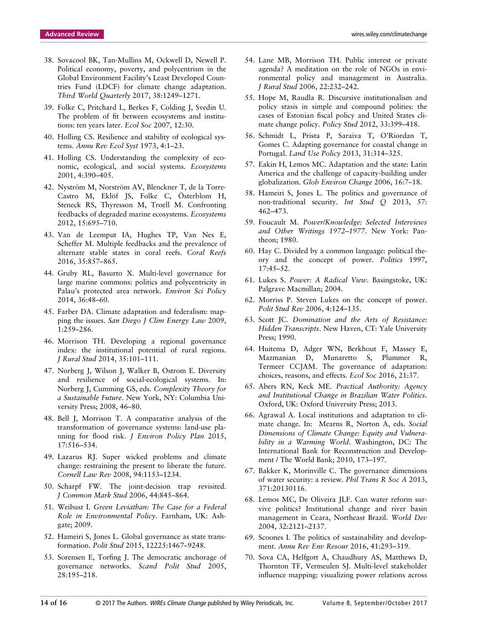- 38. Sovacool BK, Tan-Mullins M, Ockwell D, Newell P. Political economy, poverty, and polycentrism in the Global Environment Facility's Least Developed Countries Fund (LDCF) for climate change adaptation. Third World Quarterly 2017, 38:1249–1271.
- 39. Folke C, Pritchard L, Berkes F, Colding J, Svedin U. The problem of fit between ecosystems and institutions: ten years later. Ecol Soc 2007, 12:30.
- 40. Holling CS. Resilience and stability of ecological systems. Annu Rev Ecol Syst 1973, 4:1–23.
- 41. Holling CS. Understanding the complexity of economic, ecological, and social systems. Ecosystems 2001, 4:390–405.
- 42. Nyström M, Norström AV, Blenckner T, de la Torre-Castro M, Eklöf JS, Folke C, Österblom H, Steneck RS, Thyresson M, Troell M. Confronting feedbacks of degraded marine ecosystems. Ecosystems 2012, 15:695–710.
- 43. Van de Leemput IA, Hughes TP, Van Nes E, Scheffer M. Multiple feedbacks and the prevalence of alternate stable states in coral reefs. Coral Reefs 2016, 35:857–865.
- 44. Gruby RL, Basurto X. Multi-level governance for large marine commons: politics and polycentricity in Palau's protected area network. Environ Sci Policy 2014, 36:48–60.
- 45. Farber DA. Climate adaptation and federalism: mapping the issues. San Diego J Clim Energy Law 2009, 1:259–286.
- 46. Morrison TH. Developing a regional governance index: the institutional potential of rural regions. J Rural Stud 2014, 35:101–111.
- 47. Norberg J, Wilson J, Walker B, Ostrom E. Diversity and resilience of social-ecological systems. In: Norberg J, Cumming GS, eds. Complexity Theory for a Sustainable Future. New York, NY: Columbia University Press; 2008, 46–80.
- 48. Bell J, Morrison T. A comparative analysis of the transformation of governance systems: land-use planning for flood risk. J Environ Policy Plan 2015, 17:516–534.
- 49. Lazarus RJ. Super wicked problems and climate change: restraining the present to liberate the future. Cornell Law Rev 2008, 94:1153–1234.
- 50. Scharpf FW. The joint-decision trap revisited. J Common Mark Stud 2006, 44:845–864.
- 51. Weibust I. Green Leviathan: The Case for a Federal Role in Environmental Policy. Farnham, UK: Ashgate; 2009.
- 52. Hameiri S, Jones L. Global governance as state transformation. Polit Stud 2015, 12225:1467–9248.
- 53. Sorensen E, Torfing J. The democratic anchorage of governance networks. Scand Polit Stud 2005, 28:195–218.
- 54. Lane MB, Morrison TH. Public interest or private agenda? A meditation on the role of NGOs in environmental policy and management in Australia. J Rural Stud 2006, 22:232–242.
- 55. Hope M, Raudla R. Discursive institutionalism and policy stasis in simple and compound polities: the cases of Estonian fiscal policy and United States climate change policy. Policy Stud 2012, 33:399–418.
- 56. Schmidt L, Prista P, Saraiva T, O'Riordan T, Gomes C. Adapting governance for coastal change in Portugal. Land Use Policy 2013, 31:314–325.
- 57. Eakin H, Lemos MC. Adaptation and the state: Latin America and the challenge of capacity-building under globalization. Glob Environ Change 2006, 16:7–18.
- 58. Hameiri S, Jones L. The politics and governance of non-traditional security. Int Stud Q 2013, 57: 462–473.
- 59. Foucault M. Power/Knowledge: Selected Interviews and Other Writings 1972–1977. New York: Pantheon; 1980.
- 60. Hay C. Divided by a common language: political theory and the concept of power. Politics 1997, 17:45–52.
- 61. Lukes S. Power: A Radical View. Basingstoke, UK: Palgrave Macmillan; 2004.
- 62. Morriss P. Steven Lukes on the concept of power. Polit Stud Rev 2006, 4:124–135.
- 63. Scott JC. Domination and the Arts of Resistance: Hidden Transcripts. New Haven, CT: Yale University Press; 1990.
- 64. Huitema D, Adger WN, Berkhout F, Massey E, Mazmanian D, Munaretto S, Plummer R, Termeer CCJAM. The governance of adaptation: choices, reasons, and effects. Ecol Soc 2016, 21:37.
- 65. Abers RN, Keck ME. Practical Authority: Agency and Institutional Change in Brazilian Water Politics. Oxford, UK: Oxford University Press; 2013.
- 66. Agrawal A. Local institutions and adaptation to climate change. In: Mearns R, Norton A, eds. Social Dimensions of Climate Change: Equity and Vulnerability in a Warming World. Washington, DC: The International Bank for Reconstruction and Development / The World Bank; 2010, 173–197.
- 67. Bakker K, Morinville C. The governance dimensions of water security: a review. Phil Trans R Soc A 2013, 371:20130116.
- 68. Lemos MC, De Oliveira JLF. Can water reform survive politics? Institutional change and river basin management in Ceara, Northeast Brazil. World Dev 2004, 32:2121–2137.
- 69. Scoones I. The politics of sustainability and development. Annu Rev Env Resour 2016, 41:293–319.
- 70. Sova CA, Helfgott A, Chaudhury AS, Matthews D, Thornton TF, Vermeulen SJ. Multi-level stakeholder influence mapping: visualizing power relations across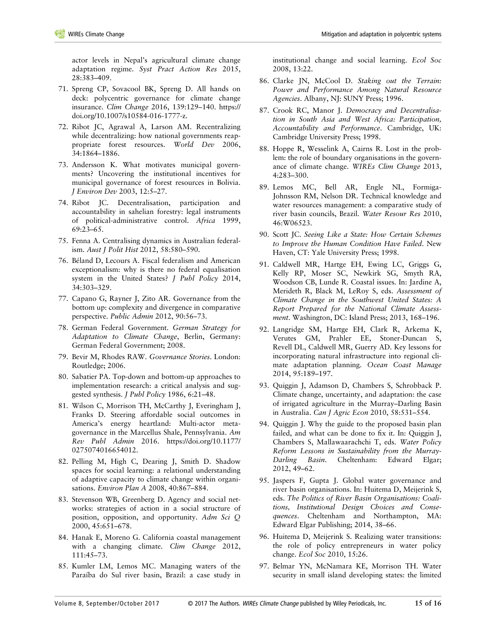actor levels in Nepal's agricultural climate change adaptation regime. Syst Pract Action Res 2015, 28:383–409.

- 71. Spreng CP, Sovacool BK, Spreng D. All hands on deck: polycentric governance for climate change insurance. Clim Change 2016, 139:129–140. [https://](https://doi.org/10.1007/s10584-016-1777-z) [doi.org/10.1007/s10584-016-1777-z](https://doi.org/10.1007/s10584-016-1777-z).
- 72. Ribot JC, Agrawal A, Larson AM. Recentralizing while decentralizing: how national governments reappropriate forest resources. World Dev 2006, 34:1864–1886.
- 73. Andersson K. What motivates municipal governments? Uncovering the institutional incentives for municipal governance of forest resources in Bolivia. J Environ Dev 2003, 12:5–27.
- 74. Ribot JC. Decentralisation, participation and accountability in sahelian forestry: legal instruments of political-administrative control. Africa 1999, 69:23–65.
- 75. Fenna A. Centralising dynamics in Australian federalism. Aust J Polit Hist 2012, 58:580–590.
- 76. Béland D, Lecours A. Fiscal federalism and American exceptionalism: why is there no federal equalisation system in the United States? J Publ Policy 2014, 34:303–329.
- 77. Capano G, Rayner J, Zito AR. Governance from the bottom up: complexity and divergence in comparative perspective. Public Admin 2012, 90:56–73.
- 78. German Federal Government. German Strategy for Adaptation to Climate Change, Berlin, Germany: German Federal Government; 2008.
- 79. Bevir M, Rhodes RAW. Governance Stories. London: Routledge; 2006.
- 80. Sabatier PA. Top-down and bottom-up approaches to implementation research: a critical analysis and suggested synthesis. J Publ Policy 1986, 6:21–48.
- 81. Wilson C, Morrison TH, McCarthy J, Everingham J, Franks D. Steering affordable social outcomes in America's energy heartland: Multi-actor metagovernance in the Marcellus Shale, Pennsylvania. Am Rev Publ Admin 2016. [https://doi.org/10.1177/](https://doi.org/10.1177/0275074016654012) [0275074016654012](https://doi.org/10.1177/0275074016654012).
- 82. Pelling M, High C, Dearing J, Smith D. Shadow spaces for social learning: a relational understanding of adaptive capacity to climate change within organisations. Environ Plan A 2008, 40:867–884.
- 83. Stevenson WB, Greenberg D. Agency and social networks: strategies of action in a social structure of position, opposition, and opportunity. Adm Sci Q 2000, 45:651–678.
- 84. Hanak E, Moreno G. California coastal management with a changing climate. Clim Change 2012, 111:45–73.
- 85. Kumler LM, Lemos MC. Managing waters of the Paraíba do Sul river basin, Brazil: a case study in

institutional change and social learning. Ecol Soc 2008, 13:22.

- 86. Clarke JN, McCool D. Staking out the Terrain: Power and Performance Among Natural Resource Agencies. Albany, NJ: SUNY Press; 1996.
- 87. Crook RC, Manor J. Democracy and Decentralisation in South Asia and West Africa: Participation, Accountability and Performance. Cambridge, UK: Cambridge University Press; 1998.
- 88. Hoppe R, Wesselink A, Cairns R. Lost in the problem: the role of boundary organisations in the governance of climate change. WIREs Clim Change 2013, 4:283–300.
- 89. Lemos MC, Bell AR, Engle NL, Formiga-Johnsson RM, Nelson DR. Technical knowledge and water resources management: a comparative study of river basin councils, Brazil. Water Resour Res 2010, 46:W06523.
- 90. Scott JC. Seeing Like a State: How Certain Schemes to Improve the Human Condition Have Failed. New Haven, CT: Yale University Press; 1998.
- 91. Caldwell MR, Hartge EH, Ewing LC, Griggs G, Kelly RP, Moser SC, Newkirk SG, Smyth RA, Woodson CB, Lunde R. Coastal issues. In: Jardine A, Merideth R, Black M, LeRoy S, eds. Assessment of Climate Change in the Southwest United States: A Report Prepared for the National Climate Assessment. Washington, DC: Island Press; 2013, 168–196.
- 92. Langridge SM, Hartge EH, Clark R, Arkema K, Verutes GM, Prahler EE, Stoner-Duncan S, Revell DL, Caldwell MR, Guerry AD. Key lessons for incorporating natural infrastructure into regional climate adaptation planning. Ocean Coast Manage 2014, 95:189–197.
- 93. Quiggin J, Adamson D, Chambers S, Schrobback P. Climate change, uncertainty, and adaptation: the case of irrigated agriculture in the Murray–Darling Basin in Australia. Can J Agric Econ 2010, 58:531–554.
- 94. Quiggin J. Why the guide to the proposed basin plan failed, and what can be done to fix it. In: Quiggin J, Chambers S, Mallawaarachchi T, eds. Water Policy Reform Lessons in Sustainability from the Murray-Darling Basin. Cheltenham: Edward Elgar; 2012, 49–62.
- 95. Jaspers F, Gupta J. Global water governance and river basin organisations. In: Huitema D, Meijerink S, eds. The Politics of River Basin Organisations: Coalitions, Institutional Design Choices and Consequences. Cheltenham and Northampton, MA: Edward Elgar Publishing; 2014, 38–66.
- 96. Huitema D, Meijerink S. Realizing water transitions: the role of policy entrepreneurs in water policy change. Ecol Soc 2010, 15:26.
- 97. Belmar YN, McNamara KE, Morrison TH. Water security in small island developing states: the limited